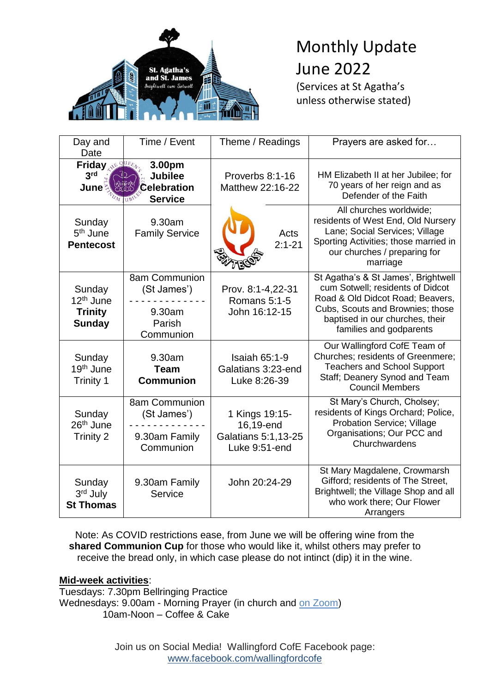

# Monthly Update June 2022 (Services at St Agatha's

unless otherwise stated)

| Day and<br>Date                                                    | Time / Event                                                     | Theme / Readings                                                    | Prayers are asked for                                                                                                                                                                                         |  |
|--------------------------------------------------------------------|------------------------------------------------------------------|---------------------------------------------------------------------|---------------------------------------------------------------------------------------------------------------------------------------------------------------------------------------------------------------|--|
| <b>Friday NE QUEE</b><br>3 <sup>rd</sup><br>June                   | 3.00pm<br><b>Jubilee</b><br><b>Celebration</b><br><b>Service</b> | Proverbs 8:1-16<br>Matthew 22:16-22                                 | HM Elizabeth II at her Jubilee; for<br>70 years of her reign and as<br>Defender of the Faith                                                                                                                  |  |
| Sunday<br>5 <sup>th</sup> June<br><b>Pentecost</b>                 | 9.30am<br><b>Family Service</b>                                  | Acts<br>$2:1 - 21$                                                  | All churches worldwide;<br>residents of West End, Old Nursery<br>Lane; Social Services; Village<br>Sporting Activities; those married in<br>our churches / preparing for<br>marriage                          |  |
| Sunday<br>12 <sup>th</sup> June<br><b>Trinity</b><br><b>Sunday</b> | 8am Communion<br>(St James')<br>9.30am<br>Parish<br>Communion    | Prov. 8:1-4,22-31<br>Romans 5:1-5<br>John 16:12-15                  | St Agatha's & St James', Brightwell<br>cum Sotwell; residents of Didcot<br>Road & Old Didcot Road; Beavers,<br>Cubs, Scouts and Brownies; those<br>baptised in our churches, their<br>families and godparents |  |
| Sunday<br>19 <sup>th</sup> June<br>Trinity 1                       | 9.30am<br><b>Team</b><br><b>Communion</b>                        | <b>Isaiah 65:1-9</b><br>Galatians 3:23-end<br>Luke 8:26-39          | Our Wallingford CofE Team of<br>Churches; residents of Greenmere;<br><b>Teachers and School Support</b><br>Staff; Deanery Synod and Team<br><b>Council Members</b>                                            |  |
| Sunday<br>26 <sup>th</sup> June<br><b>Trinity 2</b>                | 8am Communion<br>(St James')<br>9.30am Family<br>Communion       | 1 Kings 19:15-<br>16,19-end<br>Galatians 5:1,13-25<br>Luke 9:51-end | St Mary's Church, Cholsey;<br>residents of Kings Orchard; Police,<br><b>Probation Service; Village</b><br>Organisations; Our PCC and<br>Churchwardens                                                         |  |
| Sunday<br>3rd July<br><b>St Thomas</b>                             | 9.30am Family<br>Service                                         | John 20:24-29                                                       | St Mary Magdalene, Crowmarsh<br>Gifford; residents of The Street,<br>Brightwell; the Village Shop and all<br>who work there; Our Flower<br>Arrangers                                                          |  |

Note: As COVID restrictions ease, from June we will be offering wine from the **shared Communion Cup** for those who would like it, whilst others may prefer to receive the bread only, in which case please do not intinct (dip) it in the wine.

# **Mid-week activities**:

Tuesdays: 7.30pm Bellringing Practice Wednesdays: 9.00am - Morning Prayer (in church and [on Zoom\)](https://us04web.zoom.us/j/6876108967?pwd=MzRCbnBPek9hc2djamlpUTJIMm1idz09) 10am-Noon – Coffee & Cake

> Join us on Social Media! Wallingford CofE Facebook page: [www.facebook.com/wallingfordcofe](http://www.facebook.com/wallingfordcofe)